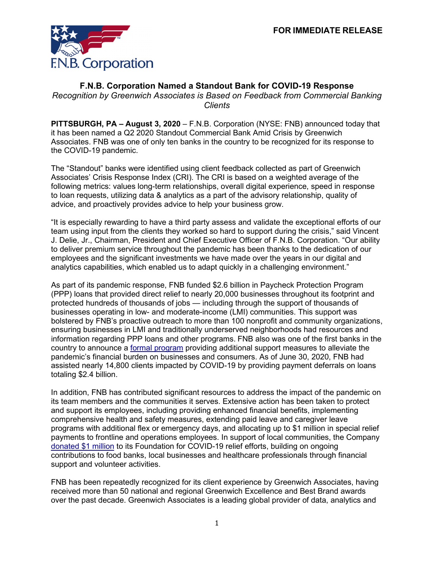

## **F.N.B. Corporation Named a Standout Bank for COVID-19 Response**

*Recognition by Greenwich Associates is Based on Feedback from Commercial Banking Clients*

**PITTSBURGH, PA – August 3, 2020** – F.N.B. Corporation (NYSE: FNB) announced today that it has been named a Q2 2020 Standout Commercial Bank Amid Crisis by Greenwich Associates. FNB was one of only ten banks in the country to be recognized for its response to the COVID-19 pandemic.

The "Standout" banks were identified using client feedback collected as part of Greenwich Associates' Crisis Response Index (CRI). The CRI is based on a weighted average of the following metrics: values long-term relationships, overall digital experience, speed in response to loan requests, utilizing data & analytics as a part of the advisory relationship, quality of advice, and proactively provides advice to help your business grow.

"It is especially rewarding to have a third party assess and validate the exceptional efforts of our team using input from the clients they worked so hard to support during the crisis," said Vincent J. Delie, Jr., Chairman, President and Chief Executive Officer of F.N.B. Corporation. "Our ability to deliver premium service throughout the pandemic has been thanks to the dedication of our employees and the significant investments we have made over the years in our digital and analytics capabilities, which enabled us to adapt quickly in a challenging environment."

As part of its pandemic response, FNB funded \$2.6 billion in Paycheck Protection Program (PPP) loans that provided direct relief to nearly 20,000 businesses throughout its footprint and protected hundreds of thousands of jobs — including through the support of thousands of businesses operating in low- and moderate-income (LMI) communities. This support was bolstered by FNB's proactive outreach to more than 100 nonprofit and community organizations, ensuring businesses in LMI and traditionally underserved neighborhoods had resources and information regarding PPP loans and other programs. FNB also was one of the first banks in the country to announce a [formal program](https://www.fnb-online.com/about-us/newsroom/press-releases/2020/fnb-corporation-announces-additional-support-032320) providing additional support measures to alleviate the pandemic's financial burden on businesses and consumers. As of June 30, 2020, FNB had assisted nearly 14,800 clients impacted by COVID-19 by providing payment deferrals on loans totaling \$2.4 billion.

In addition, FNB has contributed significant resources to address the impact of the pandemic on its team members and the communities it serves. Extensive action has been taken to protect and support its employees, including providing enhanced financial benefits, implementing comprehensive health and safety measures, extending paid leave and caregiver leave programs with additional flex or emergency days, and allocating up to \$1 million in special relief payments to frontline and operations employees. In support of local communities, the Company [donated \\$1 million](https://www.fnb-online.com/about-us/newsroom/press-releases/2020/fnb-corporation-commits-$1-million-to-covid-19-relief-efforts-033120) to its Foundation for COVID-19 relief efforts, building on ongoing contributions to food banks, local businesses and healthcare professionals through financial support and volunteer activities.

FNB has been repeatedly recognized for its client experience by Greenwich Associates, having received more than 50 national and regional Greenwich Excellence and Best Brand awards over the past decade. Greenwich Associates is a leading global provider of data, analytics and